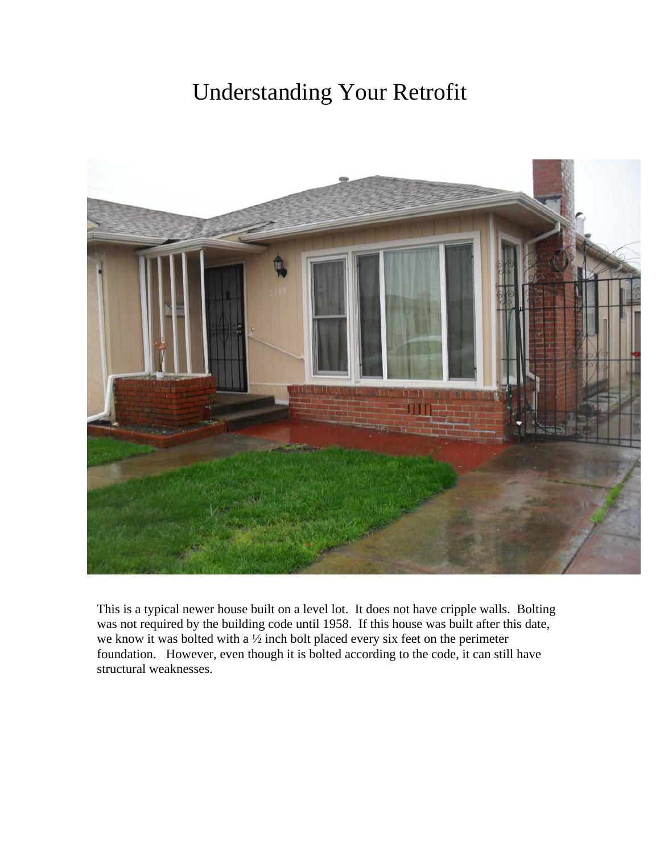## Understanding Your Retrofit



This is a typical newer house built on a level lot. It does not have cripple walls. Bolting was not required by the building code until 1958. If this house was built after this date, we know it was bolted with a <sup>1/2</sup> inch bolt placed every six feet on the perimeter foundation. However, even though it is bolted according to the code, it can still have structural weaknesses.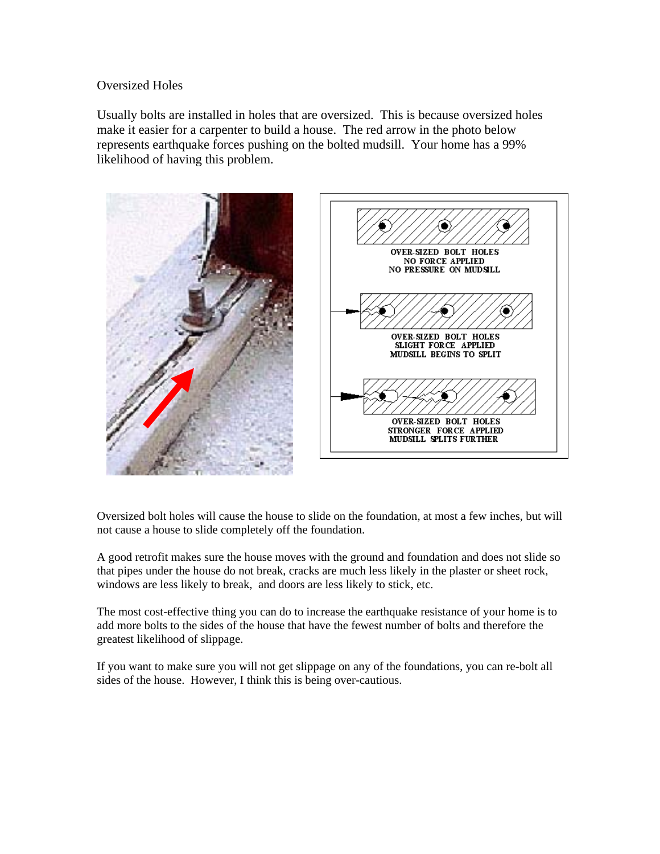## Oversized Holes

Usually bolts are installed in holes that are oversized. This is because oversized holes make it easier for a carpenter to build a house. The red arrow in the photo below represents earthquake forces pushing on the bolted mudsill. Your home has a 99% likelihood of having this problem.



Oversized bolt holes will cause the house to slide on the foundation, at most a few inches, but will not cause a house to slide completely off the foundation.

A good retrofit makes sure the house moves with the ground and foundation and does not slide so that pipes under the house do not break, cracks are much less likely in the plaster or sheet rock, windows are less likely to break, and doors are less likely to stick, etc.

The most cost-effective thing you can do to increase the earthquake resistance of your home is to add more bolts to the sides of the house that have the fewest number of bolts and therefore the greatest likelihood of slippage.

If you want to make sure you will not get slippage on any of the foundations, you can re-bolt all sides of the house. However, I think this is being over-cautious.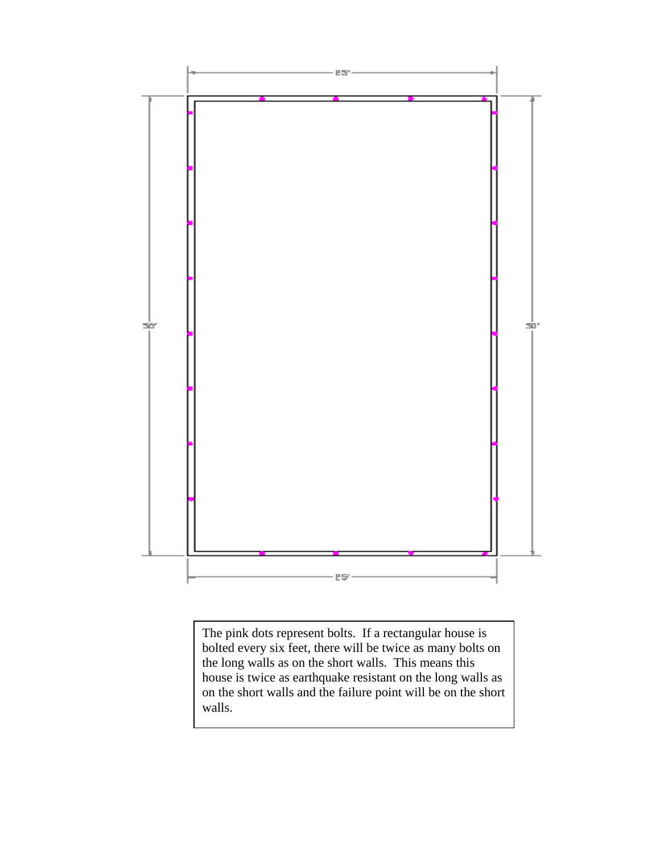

The pink dots represent bolts. If a rectangular house is bolted every six feet, there will be twice as many bolts on the long walls as on the short walls. This means this house is twice as earthquake resistant on the long walls as on the short walls and the failure point will be on the short walls.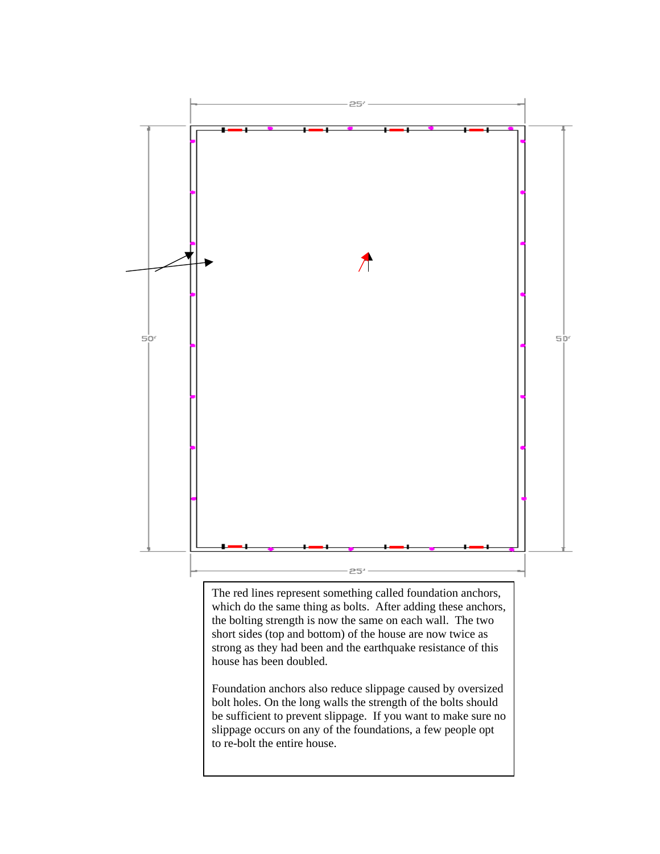

The red lines represent something called foundation anchors, which do the same thing as bolts. After adding these anchors, the bolting strength is now the same on each wall. The two short sides (top and bottom) of the house are now twice as strong as they had been and the earthquake resistance of this house has been doubled.

Foundation anchors also reduce slippage caused by oversized bolt holes. On the long walls the strength of the bolts should be sufficient to prevent slippage. If you want to make sure no slippage occurs on any of the foundations, a few people opt to re-bolt the entire house.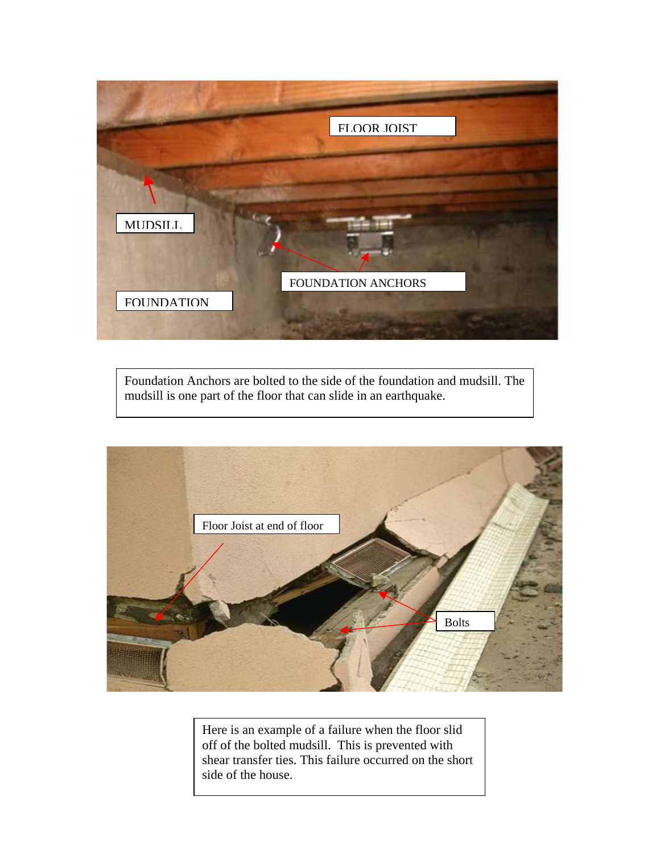

Foundation Anchors are bolted to the side of the foundation and mudsill. The mudsill is one part of the floor that can slide in an earthquake.



Here is an example of a failure when the floor slid off of the bolted mudsill. This is prevented with shear transfer ties. This failure occurred on the short side of the house.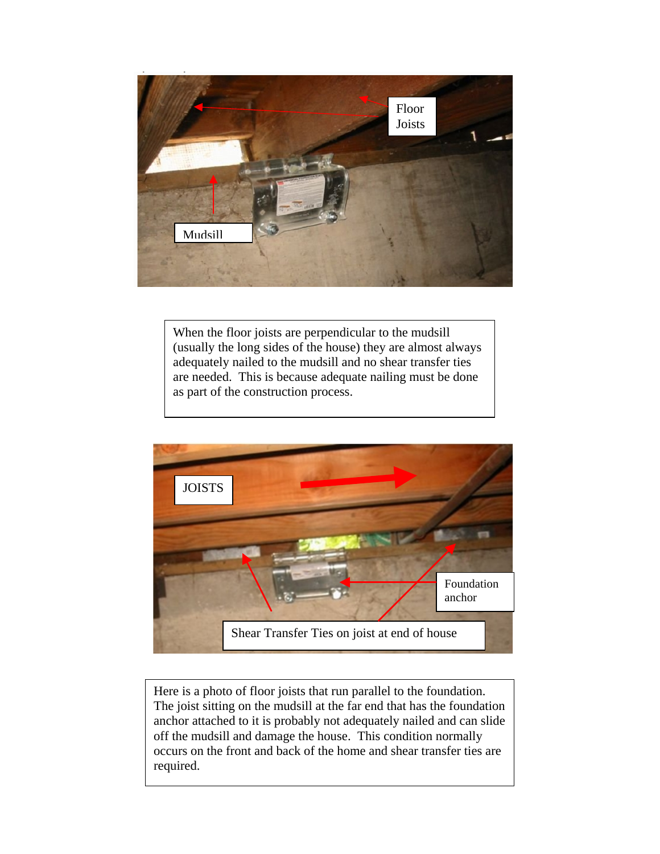

When the floor joists are perpendicular to the mudsill (usually the long sides of the house) they are almost always adequately nailed to the mudsill and no shear transfer ties are needed. This is because adequate nailing must be done as part of the construction process.



Here is a photo of floor joists that run parallel to the foundation. The joist sitting on the mudsill at the far end that has the foundation anchor attached to it is probably not adequately nailed and can slide off the mudsill and damage the house. This condition normally occurs on the front and back of the home and shear transfer ties are required.